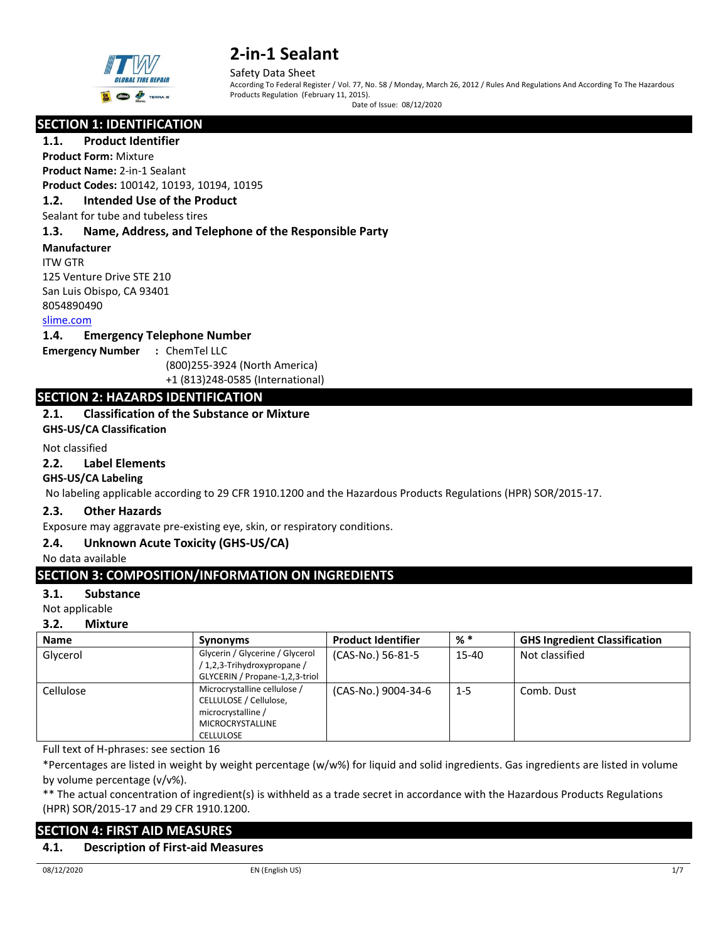

Safety Data Sheet

According To Federal Register / Vol. 77, No. 58 / Monday, March 26, 2012 / Rules And Regulations And According To The Hazardous Products Regulation (February 11, 2015).

Date of Issue: 08/12/2020

# **SECTION 1: IDENTIFICATION**

**1.1. Product Identifier Product Form:** Mixture

**Product Name:** 2-in-1 Sealant **Product Codes:** 100142, 10193, 10194, 10195

# **1.2. Intended Use of the Product**

Sealant for tube and tubeless tires

## **1.3. Name, Address, and Telephone of the Responsible Party**

## **Manufacturer**

ITW GTR 125 Venture Drive STE 210 San Luis Obispo, CA 93401 8054890490

# [slime.com](https://www.slime.com/)

#### **1.4. Emergency Telephone Number**

**Emergency Number :** ChemTel LLC

(800)255-3924 (North America)

+1 (813)248-0585 (International)

# **SECTION 2: HAZARDS IDENTIFICATION**

## **2.1. Classification of the Substance or Mixture**

**GHS-US/CA Classification**

## Not classified

# **2.2. Label Elements**

## **GHS-US/CA Labeling**

No labeling applicable according to 29 CFR 1910.1200 and the Hazardous Products Regulations (HPR) SOR/2015-17.

## **2.3. Other Hazards**

Exposure may aggravate pre-existing eye, skin, or respiratory conditions.

# **2.4. Unknown Acute Toxicity (GHS-US/CA)**

No data available

# **SECTION 3: COMPOSITION/INFORMATION ON INGREDIENTS**

## **3.1. Substance**

Not applicable

## **3.2. Mixture**

| <b>Name</b> | <b>Synonyms</b>                                                                                                             | <b>Product Identifier</b> | $%$ $*$ | <b>GHS Ingredient Classification</b> |
|-------------|-----------------------------------------------------------------------------------------------------------------------------|---------------------------|---------|--------------------------------------|
| Glycerol    | Glycerin / Glycerine / Glycerol<br>/1,2,3-Trihydroxypropane/<br>GLYCERIN / Propane-1,2,3-triol                              | (CAS-No.) 56-81-5         | 15-40   | Not classified                       |
| Cellulose   | Microcrystalline cellulose /<br>CELLULOSE / Cellulose,<br>microcrystalline /<br><b>MICROCRYSTALLINE</b><br><b>CELLULOSE</b> | (CAS-No.) 9004-34-6       | $1 - 5$ | Comb. Dust                           |

Full text of H-phrases: see section 16

\*Percentages are listed in weight by weight percentage (w/w%) for liquid and solid ingredients. Gas ingredients are listed in volume by volume percentage (v/v%).

\*\* The actual concentration of ingredient(s) is withheld as a trade secret in accordance with the Hazardous Products Regulations (HPR) SOR/2015-17 and 29 CFR 1910.1200.

# **SECTION 4: FIRST AID MEASURES**

## **4.1. Description of First-aid Measures**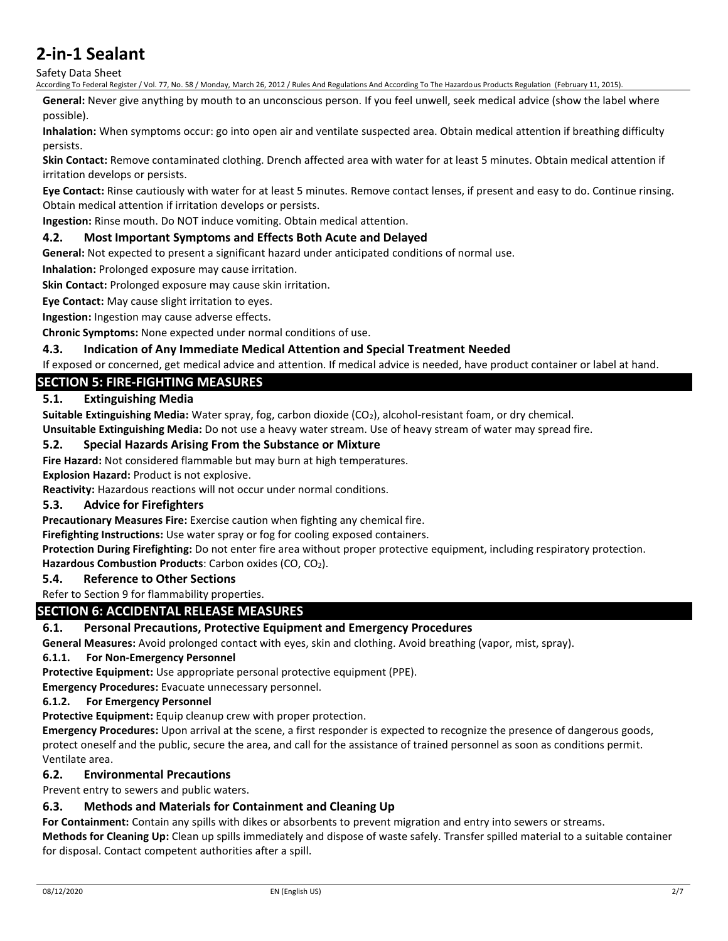Safety Data Sheet

According To Federal Register / Vol. 77, No. 58 / Monday, March 26, 2012 / Rules And Regulations And According To The Hazardous Products Regulation (February 11, 2015).

**General:** Never give anything by mouth to an unconscious person. If you feel unwell, seek medical advice (show the label where possible).

**Inhalation:** When symptoms occur: go into open air and ventilate suspected area. Obtain medical attention if breathing difficulty persists.

**Skin Contact:** Remove contaminated clothing. Drench affected area with water for at least 5 minutes. Obtain medical attention if irritation develops or persists.

**Eye Contact:** Rinse cautiously with water for at least 5 minutes. Remove contact lenses, if present and easy to do. Continue rinsing. Obtain medical attention if irritation develops or persists.

**Ingestion:** Rinse mouth. Do NOT induce vomiting. Obtain medical attention.

## **4.2. Most Important Symptoms and Effects Both Acute and Delayed**

**General:** Not expected to present a significant hazard under anticipated conditions of normal use.

**Inhalation:** Prolonged exposure may cause irritation.

**Skin Contact:** Prolonged exposure may cause skin irritation.

**Eye Contact:** May cause slight irritation to eyes.

**Ingestion:** Ingestion may cause adverse effects.

**Chronic Symptoms:** None expected under normal conditions of use.

#### **4.3. Indication of Any Immediate Medical Attention and Special Treatment Needed**

If exposed or concerned, get medical advice and attention. If medical advice is needed, have product container or label at hand.

# **SECTION 5: FIRE-FIGHTING MEASURES**

## **5.1. Extinguishing Media**

**Suitable Extinguishing Media:** Water spray, fog, carbon dioxide (CO2), alcohol-resistant foam, or dry chemical.

**Unsuitable Extinguishing Media:** Do not use a heavy water stream. Use of heavy stream of water may spread fire.

#### **5.2. Special Hazards Arising From the Substance or Mixture**

**Fire Hazard:** Not considered flammable but may burn at high temperatures.

**Explosion Hazard:** Product is not explosive.

**Reactivity:** Hazardous reactions will not occur under normal conditions.

#### **5.3. Advice for Firefighters**

**Precautionary Measures Fire:** Exercise caution when fighting any chemical fire.

**Firefighting Instructions:** Use water spray or fog for cooling exposed containers.

**Protection During Firefighting:** Do not enter fire area without proper protective equipment, including respiratory protection.

**Hazardous Combustion Products:** Carbon oxides (CO, CO<sub>2</sub>).

## **5.4. Reference to Other Sections**

Refer to Section 9 for flammability properties.

# **SECTION 6: ACCIDENTAL RELEASE MEASURES**

## **6.1. Personal Precautions, Protective Equipment and Emergency Procedures**

**General Measures:** Avoid prolonged contact with eyes, skin and clothing. Avoid breathing (vapor, mist, spray).

#### **6.1.1. For Non-Emergency Personnel**

**Protective Equipment:** Use appropriate personal protective equipment (PPE).

**Emergency Procedures:** Evacuate unnecessary personnel.

#### **6.1.2. For Emergency Personnel**

**Protective Equipment:** Equip cleanup crew with proper protection.

**Emergency Procedures:** Upon arrival at the scene, a first responder is expected to recognize the presence of dangerous goods, protect oneself and the public, secure the area, and call for the assistance of trained personnel as soon as conditions permit. Ventilate area.

## **6.2. Environmental Precautions**

Prevent entry to sewers and public waters.

## **6.3. Methods and Materials for Containment and Cleaning Up**

**For Containment:** Contain any spills with dikes or absorbents to prevent migration and entry into sewers or streams. **Methods for Cleaning Up:** Clean up spills immediately and dispose of waste safely. Transfer spilled material to a suitable container for disposal. Contact competent authorities after a spill.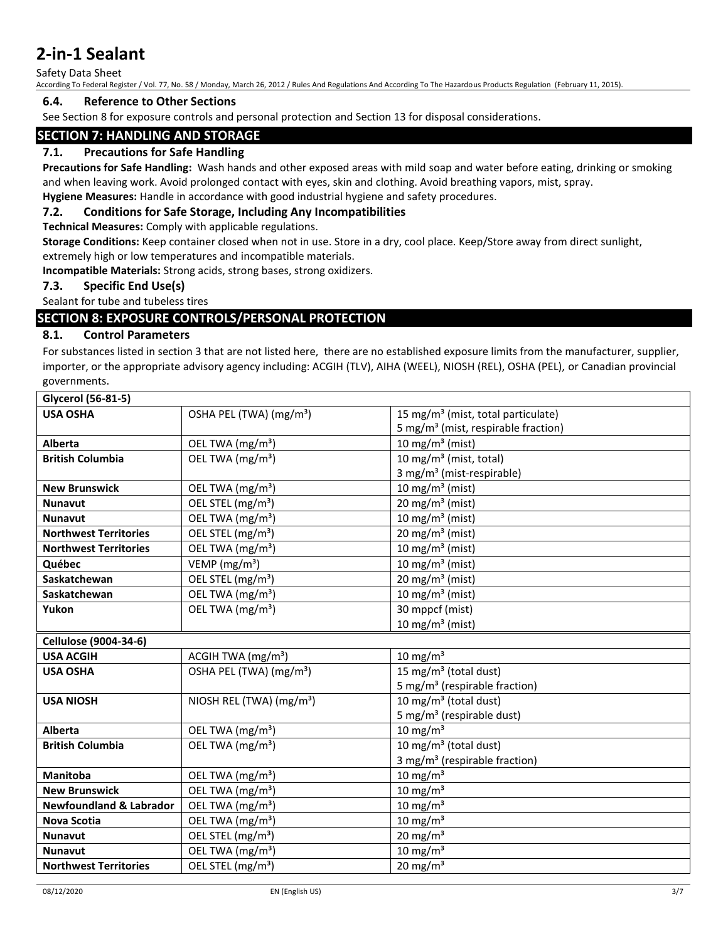Safety Data Sheet

According To Federal Register / Vol. 77, No. 58 / Monday, March 26, 2012 / Rules And Regulations And According To The Hazardous Products Regulation (February 11, 2015).

### **6.4. Reference to Other Sections**

See Section 8 for exposure controls and personal protection and Section 13 for disposal considerations.

# **SECTION 7: HANDLING AND STORAGE**

## **7.1. Precautions for Safe Handling**

**Precautions for Safe Handling:** Wash hands and other exposed areas with mild soap and water before eating, drinking or smoking and when leaving work. Avoid prolonged contact with eyes, skin and clothing. Avoid breathing vapors, mist, spray.

# **Hygiene Measures:** Handle in accordance with good industrial hygiene and safety procedures.

# **7.2. Conditions for Safe Storage, Including Any Incompatibilities**

**Technical Measures:** Comply with applicable regulations.

**Storage Conditions:** Keep container closed when not in use. Store in a dry, cool place. Keep/Store away from direct sunlight, extremely high or low temperatures and incompatible materials.

**Incompatible Materials:** Strong acids, strong bases, strong oxidizers.

## **7.3. Specific End Use(s)**

Sealant for tube and tubeless tires

# **SECTION 8: EXPOSURE CONTROLS/PERSONAL PROTECTION**

## **8.1. Control Parameters**

For substances listed in section 3 that are not listed here, there are no established exposure limits from the manufacturer, supplier, importer, or the appropriate advisory agency including: ACGIH (TLV), AIHA (WEEL), NIOSH (REL), OSHA (PEL), or Canadian provincial governments.

| Glycerol (56-81-5)                 |                                     |                                                 |
|------------------------------------|-------------------------------------|-------------------------------------------------|
| <b>USA OSHA</b>                    | OSHA PEL (TWA) (mg/m <sup>3</sup> ) | 15 mg/m <sup>3</sup> (mist, total particulate)  |
|                                    |                                     | 5 mg/m <sup>3</sup> (mist, respirable fraction) |
| <b>Alberta</b>                     | OEL TWA (mg/m <sup>3</sup> )        | 10 mg/m <sup>3</sup> (mist)                     |
| <b>British Columbia</b>            | OEL TWA (mg/m <sup>3</sup> )        | 10 mg/m $3$ (mist, total)                       |
|                                    |                                     | 3 mg/m <sup>3</sup> (mist-respirable)           |
| <b>New Brunswick</b>               | OEL TWA (mg/m <sup>3</sup> )        | 10 mg/m $3$ (mist)                              |
| <b>Nunavut</b>                     | OEL STEL (mg/m <sup>3</sup> )       | 20 mg/m <sup>3</sup> (mist)                     |
| <b>Nunavut</b>                     | OEL TWA (mg/m <sup>3</sup> )        | 10 mg/m <sup>3</sup> (mist)                     |
| <b>Northwest Territories</b>       | OEL STEL (mg/m <sup>3</sup> )       | 20 mg/m <sup>3</sup> (mist)                     |
| <b>Northwest Territories</b>       | OEL TWA (mg/m <sup>3</sup> )        | 10 mg/m <sup>3</sup> (mist)                     |
| Québec                             | VEMP ( $mg/m3$ )                    | 10 mg/m <sup>3</sup> (mist)                     |
| Saskatchewan                       | OEL STEL (mg/m <sup>3</sup> )       | 20 mg/m <sup>3</sup> (mist)                     |
| Saskatchewan                       | OEL TWA (mg/m <sup>3</sup> )        | 10 mg/m <sup>3</sup> (mist)                     |
| Yukon                              | OEL TWA (mg/m <sup>3</sup> )        | 30 mppcf (mist)                                 |
|                                    |                                     | 10 mg/m <sup>3</sup> (mist)                     |
| Cellulose (9004-34-6)              |                                     |                                                 |
| <b>USA ACGIH</b>                   | ACGIH TWA (mg/m <sup>3</sup> )      | $10 \text{ mg/m}^3$                             |
| <b>USA OSHA</b>                    | OSHA PEL (TWA) (mg/m <sup>3</sup> ) | 15 mg/m <sup>3</sup> (total dust)               |
|                                    |                                     | 5 mg/m <sup>3</sup> (respirable fraction)       |
| <b>USA NIOSH</b>                   | NIOSH REL (TWA) $(mg/m3)$           | 10 mg/m <sup>3</sup> (total dust)               |
|                                    |                                     | 5 mg/m <sup>3</sup> (respirable dust)           |
| <b>Alberta</b>                     | OEL TWA (mg/m <sup>3</sup> )        | $10 \text{ mg/m}^3$                             |
| <b>British Columbia</b>            | OEL TWA (mg/m <sup>3</sup> )        | 10 mg/m <sup>3</sup> (total dust)               |
|                                    |                                     | 3 mg/m <sup>3</sup> (respirable fraction)       |
| <b>Manitoba</b>                    | OEL TWA (mg/m <sup>3</sup> )        | $10 \text{ mg/m}^3$                             |
| <b>New Brunswick</b>               | OEL TWA (mg/m <sup>3</sup> )        | $10 \text{ mg/m}^3$                             |
| <b>Newfoundland &amp; Labrador</b> | OEL TWA (mg/m <sup>3</sup> )        | $10 \text{ mg/m}^3$                             |
| <b>Nova Scotia</b>                 | OEL TWA (mg/m <sup>3</sup> )        | $10 \text{ mg/m}^3$                             |
| <b>Nunavut</b>                     | OEL STEL (mg/m <sup>3</sup> )       | 20 mg/m $3$                                     |
| <b>Nunavut</b>                     | OEL TWA (mg/m <sup>3</sup> )        | $10 \text{ mg/m}^3$                             |
| <b>Northwest Territories</b>       | OEL STEL (mg/m <sup>3</sup> )       | 20 mg/m <sup>3</sup>                            |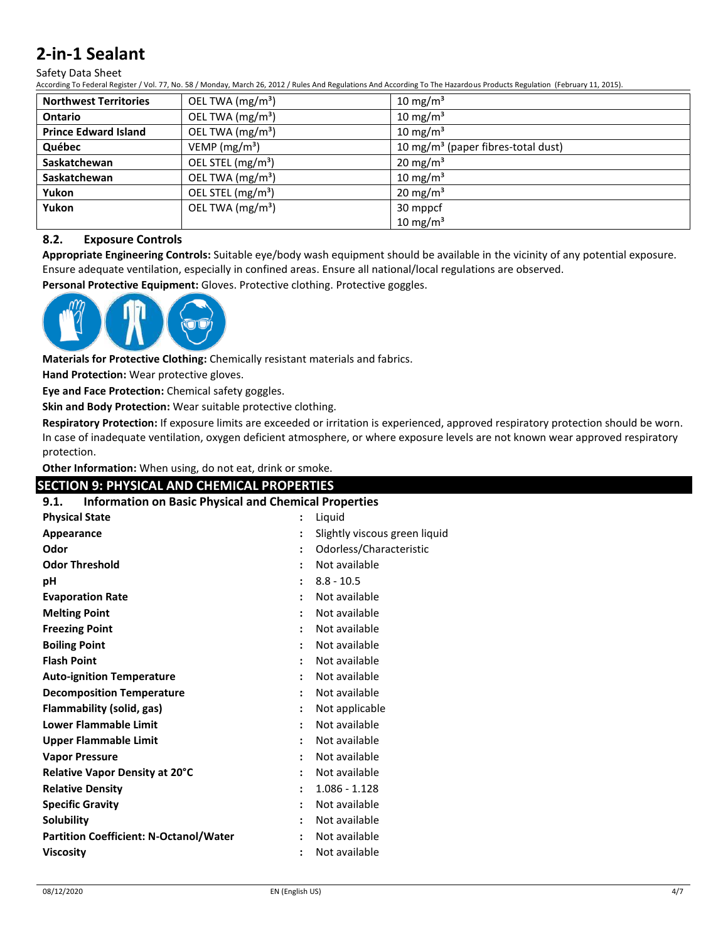#### Safety Data Sheet

According To Federal Register / Vol. 77, No. 58 / Monday, March 26, 2012 / Rules And Regulations And According To The Hazardous Products Regulation (February 11, 2015).

| <b>Northwest Territories</b> | OEL TWA $(mg/m3)$             | 10 mg/m $3$                                    |
|------------------------------|-------------------------------|------------------------------------------------|
| <b>Ontario</b>               | OEL TWA (mg/m <sup>3</sup> )  | 10 mg/m <sup>3</sup>                           |
| <b>Prince Edward Island</b>  | OEL TWA (mg/m <sup>3</sup> )  | $10 \text{ mg/m}^3$                            |
| Québec                       | VEMP ( $mg/m3$ )              | 10 mg/m <sup>3</sup> (paper fibres-total dust) |
| Saskatchewan                 | OEL STEL (mg/m <sup>3</sup> ) | $20 \text{ mg/m}^3$                            |
| Saskatchewan                 | OEL TWA (mg/m <sup>3</sup> )  | 10 mg/m $3$                                    |
| Yukon                        | OEL STEL (mg/m <sup>3</sup> ) | $20 \text{ mg/m}^3$                            |
| Yukon                        | OEL TWA (mg/m <sup>3</sup> )  | 30 mppcf                                       |
|                              |                               | 10 mg/m $3$                                    |

# **8.2. Exposure Controls**

**Appropriate Engineering Controls:** Suitable eye/body wash equipment should be available in the vicinity of any potential exposure. Ensure adequate ventilation, especially in confined areas. Ensure all national/local regulations are observed.

**Personal Protective Equipment:** Gloves. Protective clothing. Protective goggles.



**Materials for Protective Clothing:** Chemically resistant materials and fabrics.

**Hand Protection:** Wear protective gloves.

**Eye and Face Protection:** Chemical safety goggles.

**Skin and Body Protection:** Wear suitable protective clothing.

**Respiratory Protection:** If exposure limits are exceeded or irritation is experienced, approved respiratory protection should be worn. In case of inadequate ventilation, oxygen deficient atmosphere, or where exposure levels are not known wear approved respiratory protection.

#### **Other Information:** When using, do not eat, drink or smoke.

# **SECTION 9: PHYSICAL AND CHEMICAL PROPERTIES**

| <b>Information on Basic Physical and Chemical Properties</b><br>9.1. |                               |  |
|----------------------------------------------------------------------|-------------------------------|--|
| <b>Physical State</b>                                                | Liquid                        |  |
| Appearance                                                           | Slightly viscous green liquid |  |
| Odor                                                                 | Odorless/Characteristic       |  |
| <b>Odor Threshold</b>                                                | Not available                 |  |
| рH                                                                   | $8.8 - 10.5$                  |  |
| <b>Evaporation Rate</b>                                              | Not available                 |  |
| <b>Melting Point</b>                                                 | Not available                 |  |
| <b>Freezing Point</b>                                                | Not available                 |  |
| <b>Boiling Point</b>                                                 | Not available                 |  |
| <b>Flash Point</b>                                                   | Not available                 |  |
| <b>Auto-ignition Temperature</b>                                     | Not available                 |  |
| <b>Decomposition Temperature</b>                                     | Not available                 |  |
| Flammability (solid, gas)                                            | Not applicable                |  |
| <b>Lower Flammable Limit</b>                                         | Not available                 |  |
| <b>Upper Flammable Limit</b>                                         | Not available                 |  |
| <b>Vapor Pressure</b>                                                | Not available                 |  |
| Relative Vapor Density at 20°C                                       | Not available                 |  |
| <b>Relative Density</b>                                              | $1.086 - 1.128$               |  |
| <b>Specific Gravity</b>                                              | Not available                 |  |
| Solubility                                                           | Not available                 |  |
| <b>Partition Coefficient: N-Octanol/Water</b>                        | Not available                 |  |
| <b>Viscosity</b>                                                     | Not available                 |  |
|                                                                      |                               |  |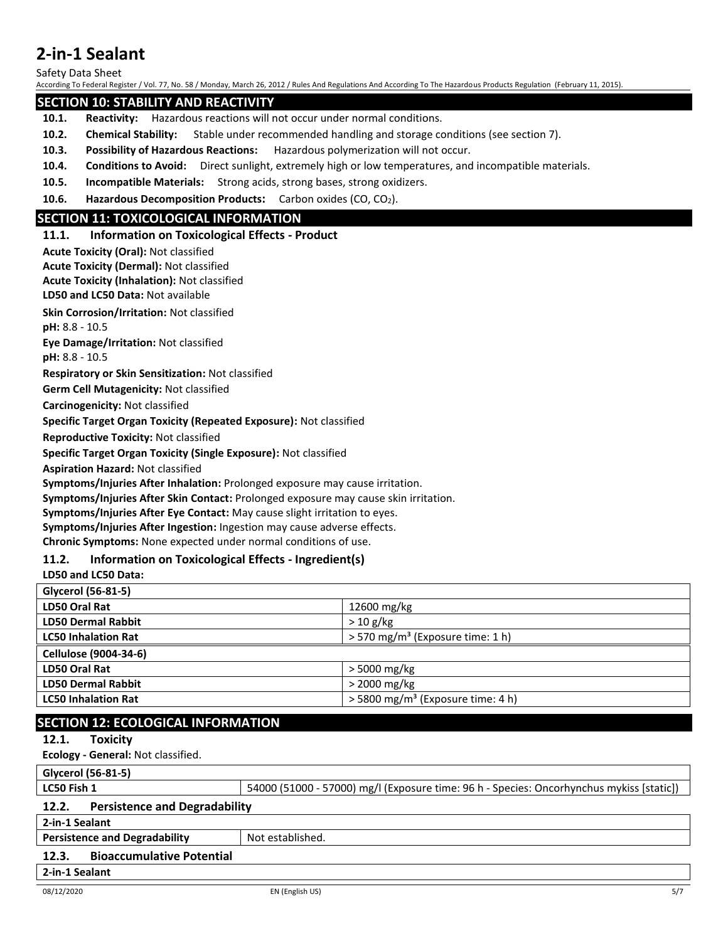Safety Data Sheet

According To Federal Register / Vol. 77, No. 58 / Monday, March 26, 2012 / Rules And Regulations And According To The Hazardous Products Regulation (February 11, 2015).

# **SECTION 10: STABILITY AND REACTIVITY**

- **10.1. Reactivity:** Hazardous reactions will not occur under normal conditions.
- **10.2. Chemical Stability:** Stable under recommended handling and storage conditions (see section 7).
- **10.3. Possibility of Hazardous Reactions:** Hazardous polymerization will not occur.
- **10.4. Conditions to Avoid:** Direct sunlight, extremely high or low temperatures, and incompatible materials.
- **10.5. Incompatible Materials:** Strong acids, strong bases, strong oxidizers.
- **10.6.** Hazardous Decomposition Products: Carbon oxides (CO, CO<sub>2</sub>).

# **SECTION 11: TOXICOLOGICAL INFORMATION**

## **11.1. Information on Toxicological Effects - Product**

**Acute Toxicity (Oral):** Not classified

**LD50 and LC50 Data:** Not available **Acute Toxicity (Dermal):** Not classified **Acute Toxicity (Inhalation):** Not classified

**Skin Corrosion/Irritation:** Not classified

**pH:** 8.8 - 10.5

**Eye Damage/Irritation:** Not classified

**pH:** 8.8 - 10.5

**Respiratory or Skin Sensitization:** Not classified

**Germ Cell Mutagenicity:** Not classified

**Carcinogenicity:** Not classified

**Specific Target Organ Toxicity (Repeated Exposure):** Not classified

**Reproductive Toxicity:** Not classified

**Specific Target Organ Toxicity (Single Exposure):** Not classified

**Aspiration Hazard:** Not classified

**Symptoms/Injuries After Inhalation:** Prolonged exposure may cause irritation.

**Symptoms/Injuries After Skin Contact:** Prolonged exposure may cause skin irritation.

**Symptoms/Injuries After Eye Contact:** May cause slight irritation to eyes.

**Symptoms/Injuries After Ingestion:** Ingestion may cause adverse effects.

**Chronic Symptoms:** None expected under normal conditions of use.

## **11.2. Information on Toxicological Effects - Ingredient(s)**

# **LD50 and LC50 Data:**

| Glycerol (56-81-5)         |                                                 |
|----------------------------|-------------------------------------------------|
| LD50 Oral Rat              | 12600 mg/kg                                     |
| <b>LD50 Dermal Rabbit</b>  | $> 10 \text{ g/kg}$                             |
| <b>LC50 Inhalation Rat</b> | $>$ 570 mg/m <sup>3</sup> (Exposure time: 1 h)  |
| Cellulose (9004-34-6)      |                                                 |
| LD50 Oral Rat              | > 5000 mg/kg                                    |
| <b>LD50 Dermal Rabbit</b>  | $>$ 2000 mg/kg                                  |
| <b>LC50 Inhalation Rat</b> | $>$ 5800 mg/m <sup>3</sup> (Exposure time: 4 h) |

# **SECTION 12: ECOLOGICAL INFORMATION**

## **12.1. Toxicity**

**Ecology - General:** Not classified.

**Glycerol (56-81-5)**

**LC50 Fish 1** 54000 (51000 - 57000) mg/l (Exposure time: 96 h - Species: Oncorhynchus mykiss [static])

# **12.2. Persistence and Degradability**

**2-in-1 Sealant**

**Persistence and Degradability** Not established.

## **12.3. Bioaccumulative Potential**

**2-in-1 Sealant**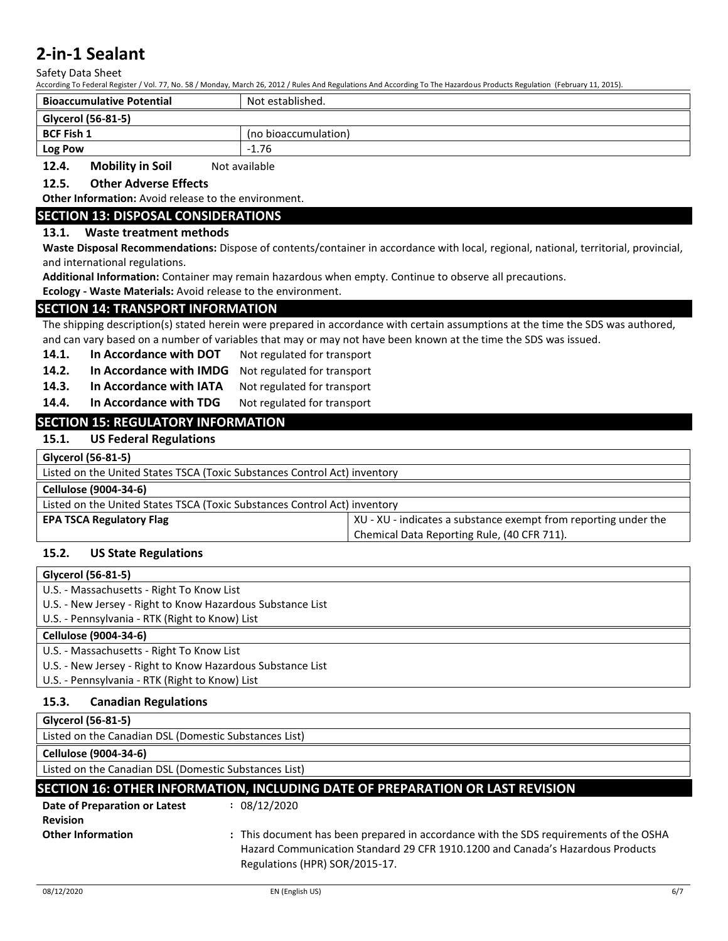Safety Data Sheet

According To Federal Register / Vol. 77, No. 58 / Monday, March 26, 2012 / Rules And Regulations And According To The Hazardous Products Regulation (February 11, 2015).

| <b>Bioaccumulative Potential</b> | Not established.     |
|----------------------------------|----------------------|
| Glycerol (56-81-5)               |                      |
| <b>BCF Fish 1</b>                | (no bioaccumulation) |
| <b>Log Pow</b>                   | $-1.76$              |
| Mobility in Soil<br>$12h$        | Not available        |

## **12.4. Mobility in Soil** Not available

# **12.5. Other Adverse Effects**

**Other Information:** Avoid release to the environment.

## **SECTION 13: DISPOSAL CONSIDERATIONS**

#### **13.1. Waste treatment methods**

**Waste Disposal Recommendations:** Dispose of contents/container in accordance with local, regional, national, territorial, provincial, and international regulations.

**Additional Information:** Container may remain hazardous when empty. Continue to observe all precautions.

**Ecology - Waste Materials:** Avoid release to the environment.

#### **SECTION 14: TRANSPORT INFORMATION**

The shipping description(s) stated herein were prepared in accordance with certain assumptions at the time the SDS was authored, and can vary based on a number of variables that may or may not have been known at the time the SDS was issued.

- 14.1. In Accordance with DOT Not regulated for transport
- **14.2. In Accordance with IMDG** Not regulated for transport
- 14.3. In Accordance with IATA Not regulated for transport
- 14.4. In Accordance with TDG Not regulated for transport

# **SECTION 15: REGULATORY INFORMATION**

# **15.1. US Federal Regulations**

| Glycerol (56-81-5)                                                        |                                                                 |  |
|---------------------------------------------------------------------------|-----------------------------------------------------------------|--|
| Listed on the United States TSCA (Toxic Substances Control Act) inventory |                                                                 |  |
| Cellulose (9004-34-6)                                                     |                                                                 |  |
| Listed on the United States TSCA (Toxic Substances Control Act) inventory |                                                                 |  |
| <b>EPA TSCA Regulatory Flag</b>                                           | XU - XU - indicates a substance exempt from reporting under the |  |
|                                                                           | Chemical Data Reporting Rule, (40 CFR 711).                     |  |

## **15.2. US State Regulations**

| Glycerol (56-81-5)                                                            |  |  |
|-------------------------------------------------------------------------------|--|--|
| U.S. - Massachusetts - Right To Know List                                     |  |  |
| U.S. - New Jersey - Right to Know Hazardous Substance List                    |  |  |
| U.S. - Pennsylvania - RTK (Right to Know) List                                |  |  |
| Cellulose (9004-34-6)                                                         |  |  |
| U.S. - Massachusetts - Right To Know List                                     |  |  |
| U.S. - New Jersey - Right to Know Hazardous Substance List                    |  |  |
| U.S. - Pennsylvania - RTK (Right to Know) List                                |  |  |
| <b>Canadian Regulations</b><br>15.3.                                          |  |  |
|                                                                               |  |  |
| Glycerol (56-81-5)                                                            |  |  |
| Listed on the Canadian DSL (Domestic Substances List)                         |  |  |
| Cellulose (9004-34-6)                                                         |  |  |
| Listed on the Canadian DSL (Domestic Substances List)                         |  |  |
| SECTION 16: OTHER INFORMATION, INCLUDING DATE OF PREPARATION OR LAST REVISION |  |  |
| : 08/12/2020<br>Date of Preparation or Latest                                 |  |  |

# **Other Information 19.1 <b>:** This document has been prepared in accordance with the SDS requirements of the OSHA Hazard Communication Standard 29 CFR 1910.1200 and Canada's Hazardous Products Regulations (HPR) SOR/2015-17.